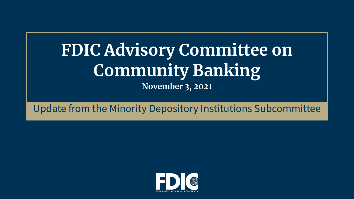# **FDIC Advisory Committee on Community Banking November 3, 2021**

# Update from the Minority Depository Institutions Subcommittee

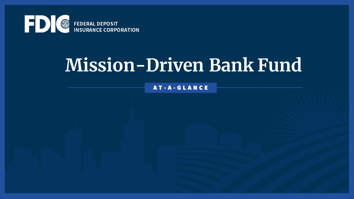

# **Mission-Driven Bank Fund**

A T - A - G L A N C E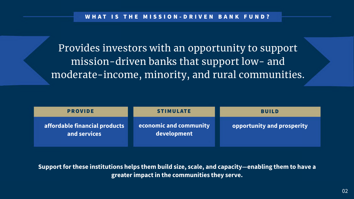Provides investors with an opportunity to support moderate-income, minority, and rural communities. mission-driven banks that support low- and

 **greater impact in the communities they serve. Support for these institutions helps them build size, scale, and capacity—enabling them to have a** 



**opportunity and prosperity**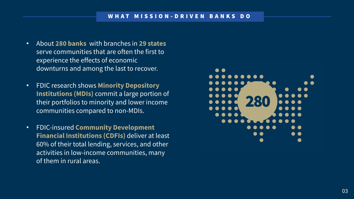- About **280 banks** with branches in **29 states**  serve communities that are often the first to experience the effects of economic downturns and among the last to recover.
- FDIC research shows **Minority Depository Institutions (MDIs)** commit a large portion of their portfolios to minority and lower income communities compared to non-MDIs.
- FDIC-insured **Community Development Financial Institutions (CDFIs)** deliver at least 60% of their total lending, services, and other activities in low-income communities, many of them in rural areas.

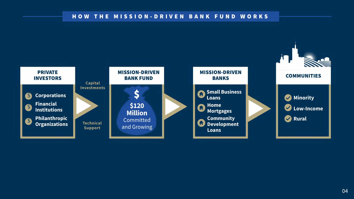### HOW THE MISSION - DRIVEN BANK FUND WORKS



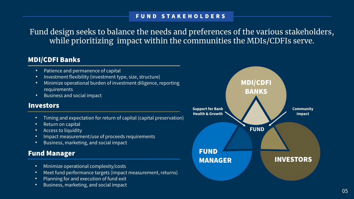while prioritizing impact within the communities the MDIs/CDFIs serve. Fund design seeks to balance the needs and preferences of the various stakeholders,

# MDI/CDFI Banks

- Patience and permanence of capital
- Investment flexibility (investment type, size, structure)
- Minimize operational burden of investment diligence, reporting requirements
- Business and social impact

## **Investors**

- Timing and expectation for return of capital (capital preservation)
- Return on capital
- Access to liquidity
- Impact measurement/use of proceeds requirements
- Business, marketing, and social impact

# Fund Manager

- Minimize operational complexity/costs
- Meet fund performance targets (impact measurement, returns)
- Planning for and execution of fund exit
- Business, marketing, and social impact



# FUND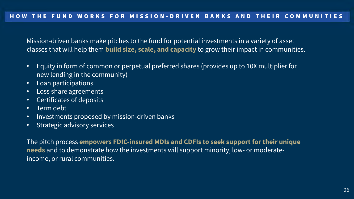Mission-driven banks make pitches to the fund for potential investments in a variety of asset classes that will help them **build size, scale, and capacity** to grow their impact in communities.

- • Equity in form of common or perpetual preferred shares (provides up to 10X multiplier for new lending in the community)
- Loan participations
- Loss share agreements
- Certificates of deposits
- Term debt
- Investments proposed by mission-driven banks
- Strategic advisory services

 The pitch process **empowers FDIC-insured MDIs and CDFIs to seek support for their unique**  income, or rural communities. **needs** and to demonstrate how the investments will support minority, low- or moderate-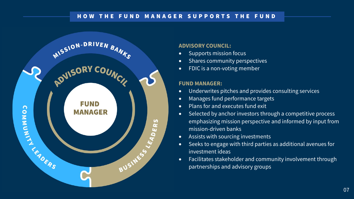## HOW THE FUND MANAGER SUPPORTS THE FUND



### **ADVISORY COUNCIL:**

- Supports mission focus
- Shares community perspectives
- FDIC is a non-voting member

### **FUND MANAGER:**

- Underwrites pitches and provides consulting services
- Manages fund performance targets
- Plans for and executes fund exit
- Selected by anchor investors through a competitive process emphasizing mission perspective and informed by input from mission-driven banks
- Assists with sourcing investments
- Seeks to engage with third parties as additional avenues for investment ideas
- Facilitates stakeholder and community involvement through partnerships and advisory groups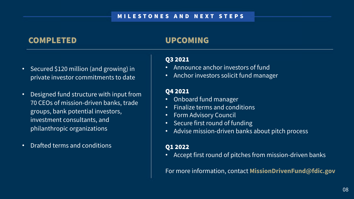# COMPLETED

- Secured \$120 million (and growing) in private investor commitments to date
- Designed fund structure with input from 70 CEOs of mission-driven banks, trade groups, bank potential investors, investment consultants, and philanthropic organizations
- Drafted terms and conditions
- Announce anchor investors of fund
- 

# UPCOMING

• Accept first round of pitches from mission-driven banks

### Q3 2021

• Anchor investors solicit fund manager

Advise mission-driven banks about pitch process

## Q4 2021

- Onboard fund manager
- Finalize terms and conditions
- **Form Advisory Council**
- Secure first round of funding
- 

# Q1 2022

For more information, contact **[MissionDrivenFund@fdic.gov](mailto:MissionDrivenFund@fdic.gov)**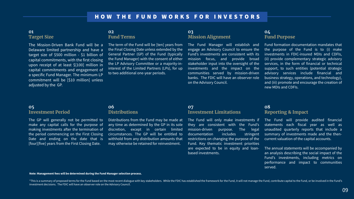### **01 Target Size**

The Mission-Driven Bank Fund will be a Delaware limited partnership and have a target size of \$500 million - \$1 billion of capital commitments, with the first closing upon receipt of at least \$[100] million in capital commitments and engagement of a specific Fund Manager. The minimum LP commitment will be [\$10 million] unless adjusted by the GP.

### **05 Investment Period**

The GP will generally not be permitted to make any capital calls for the purpose of making investments after the termination of the period commencing on the First Closing Date and ending on the date that is [four][five] years from the First Closing Date.

# **02**

### **Fund Terms**

The term of the Fund will be [ten] years from the Final Closing Date unless extended by the General Partner (GP) of the Fund (typically the Fund Manager) with the consent of either the LP Advisory Committee or a majority-ininterest of the Limited Partners (LPs), for up to two additional one-year periods.

### **06 Distributions**

Distributions from the Fund may be made at any time as determined by the GP in its sole discretion, except in certain limited circumstances. The GP will be entitled to withhold from any distribution amounts that may otherwise be retained for reinvestment.

### **03 Mission Alignment**

The Fund Manager will establish and engage an Advisory Council to ensure the Fund's investments are consistent with its mission focus, and provide broad stakeholder input into the oversight of the investments and the impact on the communities served by mission-driven banks. The FDIC will have an observer role on the Advisory Council.

\*This is a summary of proposed terms for the Fund based on the most recent dialogue with key stakeholders. While the FDIC has established the framework for the Fund, it will not manage the Fund, contribute capital to the F investment decisions. The FDIC will have an observer role on the Advisory Council.

### **07 Investment Limitations**

The Fund will only make investments if they are consistent with the Fund's mission-driven purpose. The legal documentation includes stringent restrictions on changing the purpose of the Fund. Key thematic investment priorities are expected to be in equity and loanbased investments.

### **04 Fund Purpose**

Fund formation documentation mandates that the purpose of the Fund is to (i) make investments in FDIC-insured MDIs and CDFIs, (ii) provide complementary strategic advisory services, in the form of financial or technical support, to such entities (potential strategic advisory services include financial and business strategy, operations, and technology), and (iii) promote and encourage the creation of new MDIs and CDFIs.

### **08 Reporting & Impact**

The Fund will provide audited financial statements each fiscal year as well as unaudited quarterly reports that include a summary of investments made and the thencurrent valuation of the capital accounts.

The annual statements will be accompanied by an analysis describing the social impact of the Fund's investments, including metrics on performance and impact to communities served.

### **Note: Management fees will be determined during the Fund Manager selection process.**